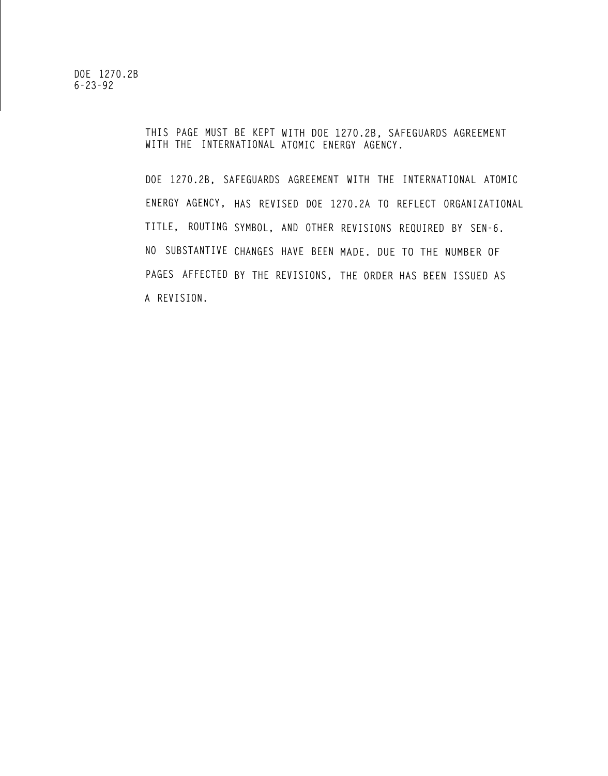**THIS PAGE MUST BE KEPT WITH DOE 1270.2B, SAFEGUARDS AGREEMENT WITH THE INTERNATIONAL ATOMIC ENERGY AGENCY.**

**DOE 1270.2B, SAFEGUARDS AGREEMENT WITH THE INTERNATIONAL ATOMIC ENERGY AGENCY, HAS REVISED DOE 1270.2A TO REFLECT ORGANIZATIONAL TITLE, ROUTING SYMBOL, AND OTHER REVISIONS REQUIRED BY SEN-6. NO SUBSTANTIVE CHANGES HAVE BEEN MADE. DUE TO THE NUMBER OF PAGES AFFECTED BY THE REVISIONS, THE ORDER HAS BEEN ISSUED ASA REVISION.**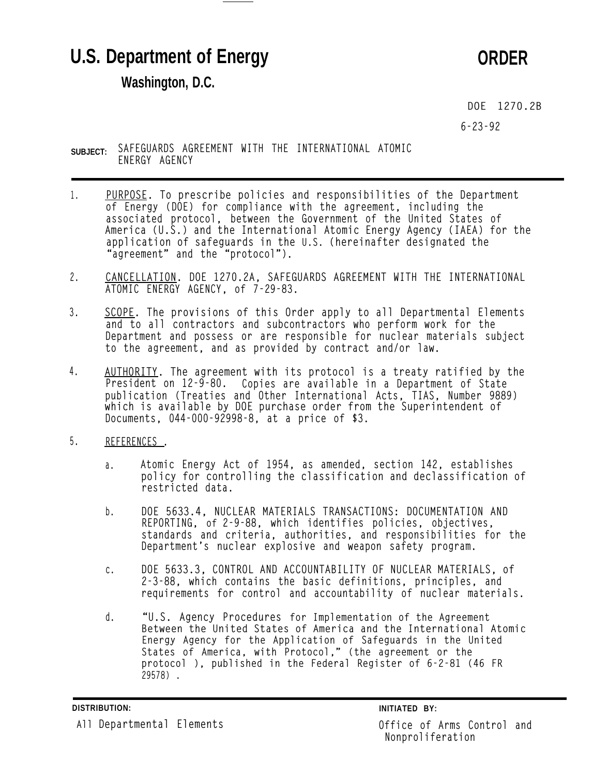# U.S. Department of Energy **CONSIDER**

## **Washington, D.C.**

 **DOE 1270.2B** 

**6-23-92**

- **SUBJECT: SAFEGUARDS AGREEMENT WITH THE INTERNATIONAL ATOMIC ENERGY AGENCY**
- **1. PURPOSE. To prescribe policies and responsibilities of the Department of Energy (DOE) for compliance with the agreement, including the associated protocol, between the Government of the United States of America (U.S.) and the International Atomic Energy Agency (IAEA) for the application of safeguards in the U.S. (hereinafter designated the "agreement" and the "protocol").**
- **2. CANCELLATION. DOE 1270.2A, SAFEGUARDS AGREEMENT WITH THE INTERNATIONAL ATOMIC ENERGY AGENCY, of 7-29-83.**
- **3. SCOPE. The provisions of this Order apply to all Departmental Elements and to all contractors and subcontractors who perform work for the Department and possess or are responsible for nuclear materials subject to the agreement, and as provided by contract and/or law.**
- **4. AUTHORITY. The agreement with its protocol is a treaty ratified by the President on 12-9-80. Copies are available in a Department of State publication (Treaties and Other International Acts, TIAS, Number 9889) which is available by DOE purchase order from the Superintendent of Documents, 044-000-92998-8, at a price of \$3.**
- **5. REFERENCES .**
	- **a. Atomic Energy Act of 1954, as amended, section 142, establishes policy for controlling the classification and declassification of restricted data.**
	- **b. DOE 5633.4, NUCLEAR MATERIALS TRANSACTIONS: DOCUMENTATION AND REPORTING, of 2-9-88, which identifies policies, objectives, standards and criteria, authorities, and responsibilities for the Department's nuclear explosive and weapon safety program.**
	- **c. DOE 5633.3, CONTROL AND ACCOUNTABILITY OF NUCLEAR MATERIALS, of 2-3-88, which contains the basic definitions, principles, and requirements for control and accountability of nuclear materials.**
	- **d. "U.S. Agency Procedures for Implementation of the Agreement Between the United States of America and the International Atomic Energy Agency for the Application of Safeguards in the United States of America, with Protocol," (the agreement or the protocol ), published in the Federal Register of 6-2-81 (46 FR 29578) .**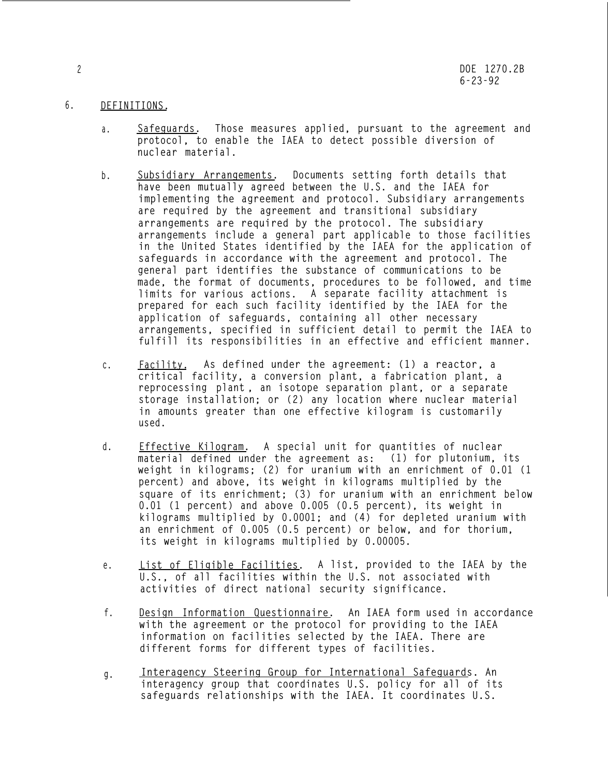#### **6. DEFINITIONS.**

- **a. Safeguards. Those measures applied, pursuant to the agreement and protocol, to enable the IAEA to detect possible diversion of nuclear material.**
- **b. Subsidiary Arrangements. Documents setting forth details that have been mutually agreed between the U.S. and the IAEA for implementing the agreement and protocol. Subsidiary arrangements are required by the agreement and transitional subsidiary arrangements are required by the protocol. The subsidiary arrangements include a general part applicable to those facilities in the United States identified by the IAEA for the application of safeguards in accordance with the agreement and protocol. The general part identifies the substance of communications to be made, the format of documents, procedures to be followed, and time limits for various actions. A separate facility attachment is prepared for each such facility identified by the IAEA for the application of safeguards, containing all other necessary arrangements, specified in sufficient detail to permit the IAEA to fulfill its responsibilities in an effective and efficient manner.**
- **c. Facility. As defined under the agreement: (1) a reactor, a critical facility, a conversion plant, a fabrication plant, a reprocessing plant , an isotope separation plant, or a separate storage installation; or (2) any location where nuclear material in amounts greater than one effective kilogram is customarily used.**
- **d. Effective Kilogram. A special unit for quantities of nuclear material defined under the agreement as: (1) for plutonium, its weight in kilograms; (2) for uranium with an enrichment of 0.01 (1 percent) and above, its weight in kilograms multiplied by the square of its enrichment; (3) for uranium with an enrichment below 0.01 (1 percent) and above 0.005 (0.5 percent), its weight in kilograms multiplied by 0.0001; and (4) for depleted uranium with an enrichment of 0.005 (0.5 percent) or below, and for thorium, its weight in kilograms multiplied by 0.00005.**
- **e. List of Eligible Facilities. A list, provided to the IAEA by the U.S., of all facilities within the U.S. not associated with activities of direct national security significance.**
- **f. Design Information Questionnaire. An IAEA form used in accordance with the agreement or the protocol for providing to the IAEA information on facilities selected by the IAEA. There are different forms for different types of facilities.**
- **g. Interagency Steering Group for International Safeguards. An interagency group that coordinates U.S. policy for all of its safeguards relationships with the IAEA. It coordinates U.S.**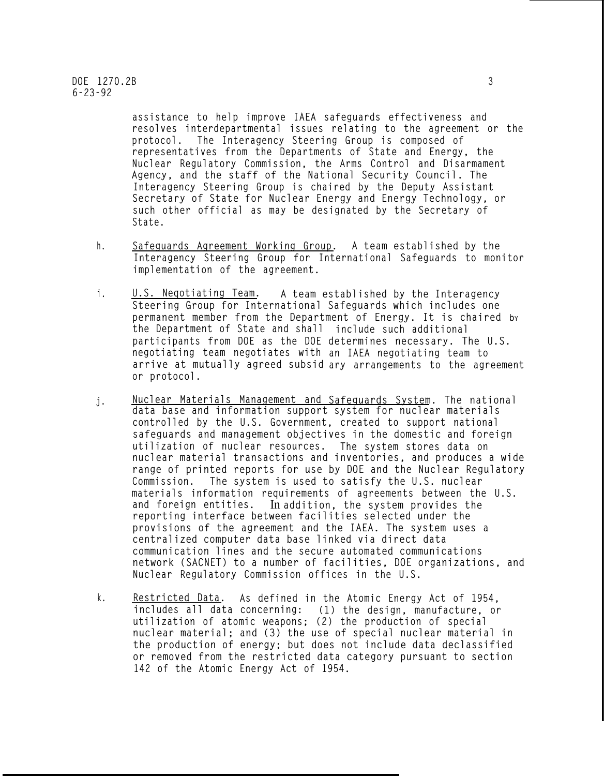#### **DOE 1270.2B 6-23-92**

**assistance to help improve IAEA safeguards effectiveness and resolves interdepartmental issues relating to the agreement or the protocol. The Interagency Steering Group is composed of representatives from the Departments of State and Energy, the Nuclear Regulatory Commission, the Arms Control and Disarmament Agency, and the staff of the National Security Council. The Interagency Steering Group is chaired by the Deputy Assistant Secretary of State for Nuclear Energy and Energy Technology, or such other official as may be designated by the Secretary of State.**

- **h. Safeguards Agreement Working Group. A team established by the Interagency Steering Group for International Safeguards to monitor implementation of the agreement.**
- **i. U.S. Neqotiating Team. A team established by the Interagency Steering Group for International Safeguards which includes one permanent member from the Department of Energy. It is chaired** b<sup>Y</sup> **the Department of State and shall include such additional participants from DOE as the DOE determines necessary. The U.S. negotiating team negotiates with an IAEA negotiating team to** arrive at mutually agreed subsid ary arrangements to the agreement **or protocol.**
- **j. Nuclear Materials Management and Safeguards System. The national data base and information support system for nuclear materials controlled by the U.S. Government, created to support national safeguards and management objectives in the domestic and foreign utilization of nuclear resources. The system stores data on nuclear material transactions and inventories, and produces a wide range of printed reports for use by DOE and the Nuclear Regulatory Commission. The system is used to satisfy the U.S. nuclear materials information requirements of agreements between the U.S. and foreign entities.** In **addition, the system provides the reporting interface between facilities selected under the provisions of the agreement and the IAEA. The system uses a centralized computer data base linked via direct data communication lines and the secure automated communications network (SACNET) to a number of facilities, DOE organizations, and Nuclear Regulatory Commission offices in the U.S.**
- **k. Restricted Data. As defined in the Atomic Energy Act of 1954, includes all data concerning: (1) the design, manufacture, or utilization of atomic weapons; (2) the production of special nuclear material; and (3) the use of special nuclear material in the production of energy; but does not include data declassified or removed from the restricted data category pursuant to section 142 of the Atomic Energy Act of 1954.**

**3**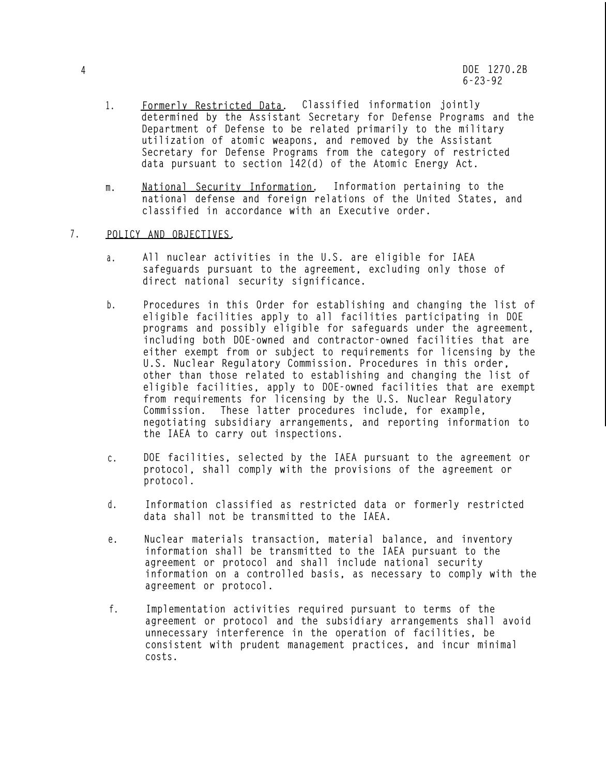- **1. Formerly Restricted Data. Classified information jointly determined by the Assistant Secretary for Defense Programs and the Department of Defense to be related primarily to the military utilization of atomic weapons, and removed by the Assistant Secretary for Defense Programs from the category of restricted data pursuant to section 142(d) of the Atomic Energy Act.**
- **m. National Security Information. Information pertaining to the national defense and foreign relations of the United States, and classified in accordance with an Executive order.**
- **7. POLICY AND OBJECTIVES.**
	- **a. All nuclear activities in the U.S. are eligible for IAEA safeguards pursuant to the agreement, excluding only those of direct national security significance.**
	- **b. Procedures in this Order for establishing and changing the list of eligible facilities apply to all facilities participating in DOE programs and possibly eligible for safeguards under the agreement, including both DOE-owned and contractor-owned facilities that are either exempt from or subject to requirements for licensing by the U.S. Nuclear Regulatory Commission. Procedures in this order, other than those related to establishing and changing the list of eligible facilities, apply to DOE-owned facilities that are exempt from requirements for licensing by the U.S. Nuclear Regulatory Commission. These latter procedures include, for example, negotiating subsidiary arrangements, and reporting information to the IAEA to carry out inspections.**
	- **c. DOE facilities, selected by the IAEA pursuant to the agreement or protocol, shall comply with the provisions of the agreement or protocol.**
	- **d. Information classified as restricted data or formerly restricted data shall not be transmitted to the IAEA.**
	- **e. Nuclear materials transaction, material balance, and inventory information shall be transmitted to the IAEA pursuant to the agreement or protocol and shall include national security information on a controlled basis, as necessary to comply with the agreement or protocol.**
	- **f. Implementation activities required pursuant to terms of the agreement or protocol and the subsidiary arrangements shall avoid unnecessary interference in the operation of facilities, be consistent with prudent management practices, and incur minimal costs.**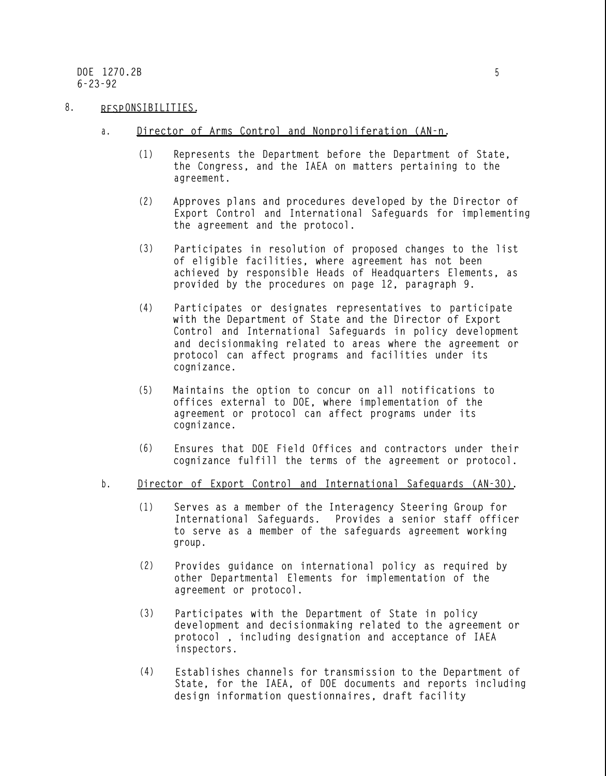#### **8. RESPONSIBILITIES.**

- **a. Director of Arms Control and Nonproliferation (AN-n.**
	- **(1) Represents the Department before the Department of State, the Congress, and the IAEA on matters pertaining to the agreement.**
	- **(2) Approves plans and procedures developed by the Director of Export Control and International Safeguards for implementing the agreement and the protocol.**
	- **(3) Participates in resolution of proposed changes to the list of eligible facilities, where agreement has not been achieved by responsible Heads of Headquarters Elements, as provided by the procedures on page 12, paragraph 9.**
	- **(4) Participates or designates representatives to participate with the Department of State and the Director of Export Control and International Safeguards in policy development and decisionmaking related to areas where the agreement or protocol can affect programs and facilities under its cognizance.**
	- **(5) Maintains the option to concur on all notifications to offices external to DOE, where implementation of the agreement or protocol can affect programs under its cognizance.**
	- **(6) Ensures that DOE Field Offices and contractors under their cognizance fulfill the terms of the agreement or protocol.**
- **b. Director of Export Control and International Safeguards (AN-30).**
	- **(1) Serves as a member of the Interagency Steering Group for International Safeguards. Provides a senior staff officer to serve as a member of the safeguards agreement working group.**
	- **(2) Provides guidance on international policy as required by other Departmental Elements for implementation of the agreement or protocol.**
	- **(3) Participates with the Department of State in policy development and decisionmaking related to the agreement or protocol , including designation and acceptance of IAEA inspectors.**
	- **(4) Establishes channels for transmission to the Department of State, for the IAEA, of DOE documents and reports including design information questionnaires, draft facility**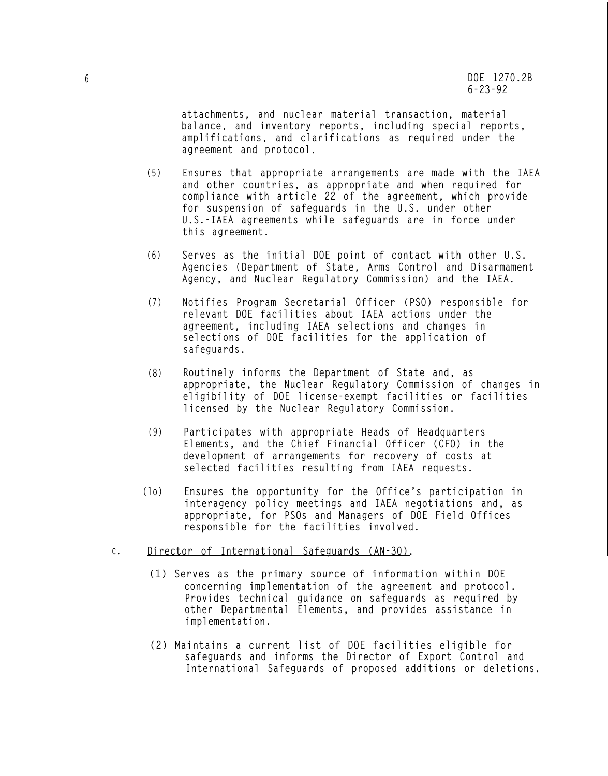**attachments, and nuclear material transaction, material balance, and inventory reports, including special reports, amplifications, and clarifications as required under the agreement and protocol.**

- **(5) Ensures that appropriate arrangements are made with the IAEA and other countries, as appropriate and when required for compliance with article 22 of the agreement, which provide for suspension of safeguards in the U.S. under other U.S.-IAEA agreements while safeguards are in force under this agreement.**
- **(6) Serves as the initial DOE point of contact with other U.S. Agencies (Department of State, Arms Control and Disarmament Agency, and Nuclear Regulatory Commission) and the IAEA.**
- **(7) Notifies Program Secretarial Officer (PSO) responsible for relevant DOE facilities about IAEA actions under the agreement, including IAEA selections and changes in selections of DOE facilities for the application of safeguards.**
- **(8) Routinely informs the Department of State and, as appropriate, the Nuclear Regulatory Commission of changes in eligibility of DOE license-exempt facilities or facilities licensed by the Nuclear Regulatory Commission.**
- **(9) Participates with appropriate Heads of Headquarters Elements, and the Chief Financial Officer (CFO) in the development of arrangements for recovery of costs at selected facilities resulting from IAEA requests.**
- **(lo) Ensures the opportunity for the Office's participation in interagency policy meetings and IAEA negotiations and, as appropriate, for PSOs and Managers of DOE Field Offices responsible for the facilities involved.**
- **c. Director of International Safeguards (AN-30).**
	- **(1) Serves as the primary source of information within DOE concerning implementation of the agreement and protocol. Provides technical guidance on safeguards as required by other Departmental Elements, and provides assistance in implementation.**
	- **(2) Maintains a current list of DOE facilities eligible for safeguards and informs the Director of Export Control and International Safeguards of proposed additions or deletions.**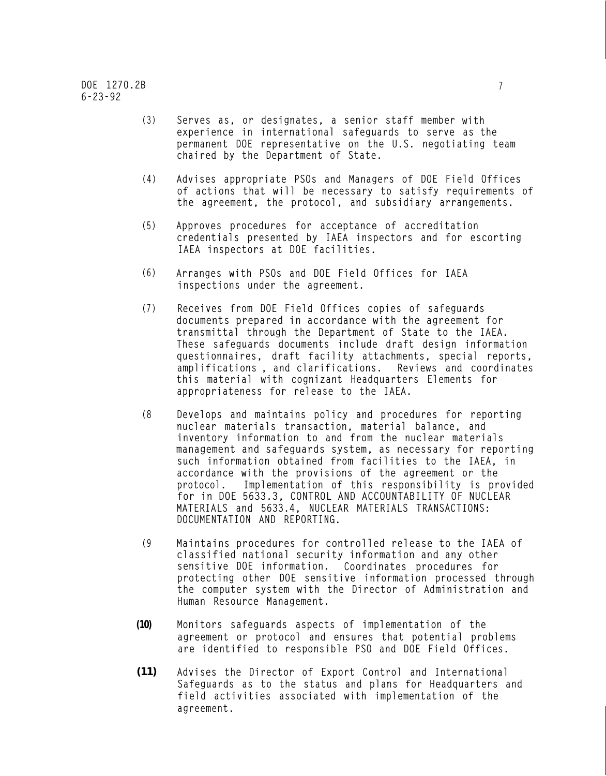- **(3) Serves as, or designates, a senior staff member with experience in international safeguards to serve as the permanent DOE representative on the U.S. negotiating team chaired by the Department of State.**
- **(4) Advises appropriate PSOs and Managers of DOE Field Offices of actions that will be necessary to satisfy requirements of the agreement, the protocol, and subsidiary arrangements.**
- **(5) Approves procedures for acceptance of accreditation credentials presented by IAEA inspectors and for escorting IAEA inspectors at DOE facilities.**
- **(6) Arranges with PSOs and DOE Field Offices for IAEA inspections under the agreement.**
- **(7) Receives from DOE Field Offices copies of safeguards documents prepared in accordance with the agreement for transmittal through the Department of State to the IAEA. These safeguards documents include draft design information questionnaires, draft facility attachments, special reports, amplifications , and clarifications. Reviews and coordinates this material with cognizant Headquarters Elements for appropriateness for release to the IAEA.**
- **(8 Develops and maintains policy and procedures for reporting nuclear materials transaction, material balance, and inventory information to and from the nuclear materials management and safeguards system, as necessary for reporting such information obtained from facilities to the IAEA, in accordance with the provisions of the agreement or the protocol. Implementation of this responsibility is provided for in DOE 5633.3, CONTROL AND ACCOUNTABILITY OF NUCLEAR MATERIALS and 5633.4, NUCLEAR MATERIALS TRANSACTIONS: DOCUMENTATION AND REPORTING.**
- **(9 Maintains procedures for controlled release to the IAEA of classified national security information and any other sensitive DOE information. Coordinates procedures for protecting other DOE sensitive information processed through the computer system with the Director of Administration and Human Resource Management.**
- **(10) Monitors safeguards aspects of implementation of the agreement or protocol and ensures that potential problems are identified to responsible PSO and DOE Field Offices.**
- **(11) Advises the Director of Export Control and International Safeguards as to the status and plans for Headquarters and field activities associated with implementation of the agreement.**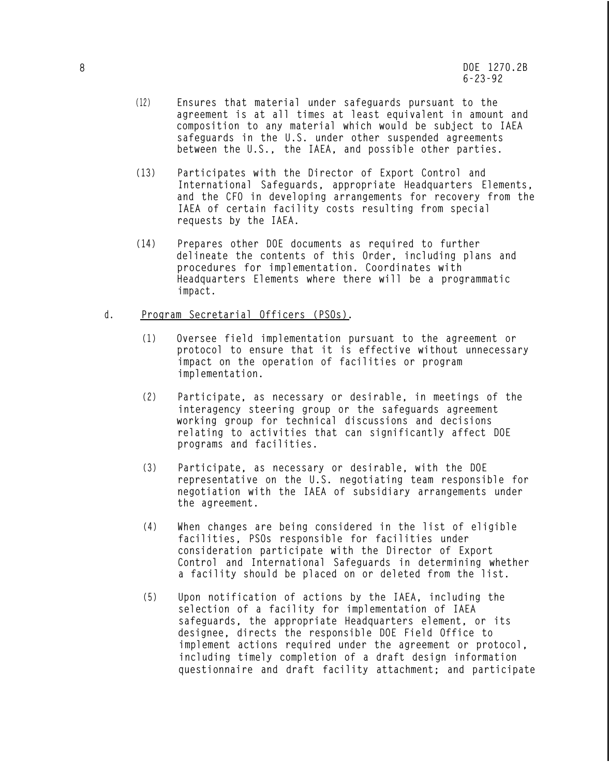- **(12) Ensures that material under safeguards pursuant to the agreement is at all times at least equivalent in amount and composition to any material which would be subject to IAEA safeguards in the U.S. under other suspended agreements between the U.S., the IAEA, and possible other parties.**
- **(13) Participates with the Director of Export Control and International Safeguards, appropriate Headquarters Elements, and the CFO in developing arrangements for recovery from the IAEA of certain facility costs resulting from special requests by the IAEA.**
- **(14) Prepares other DOE documents as required to further delineate the contents of this Order, including plans and procedures for implementation. Coordinates with Headquarters Elements where there will be a programmatic impact.**
- **d. Program Secretarial Officers (PSOs).**
	- **(1) Oversee field implementation pursuant to the agreement or protocol to ensure that it is effective without unnecessary impact on the operation of facilities or program implementation.**
	- **(2) Participate, as necessary or desirable, in meetings of the interagency steering group or the safeguards agreement working group for technical discussions and decisions relating to activities that can significantly affect DOE programs and facilities.**
	- **(3) Participate, as necessary or desirable, with the DOE representative on the U.S. negotiating team responsible for negotiation with the IAEA of subsidiary arrangements under the agreement.**
	- **(4) When changes are being considered in the list of eligible facilities, PSOs responsible for facilities under consideration participate with the Director of Export Control and International Safeguards in determining whether a facility should be placed on or deleted from the list.**
	- **(5) Upon notification of actions by the IAEA, including the selection of a facility for implementation of IAEA safeguards, the appropriate Headquarters element, or its designee, directs the responsible DOE Field Office to implement actions required under the agreement or protocol, including timely completion of a draft design information questionnaire and draft facility attachment; and participate**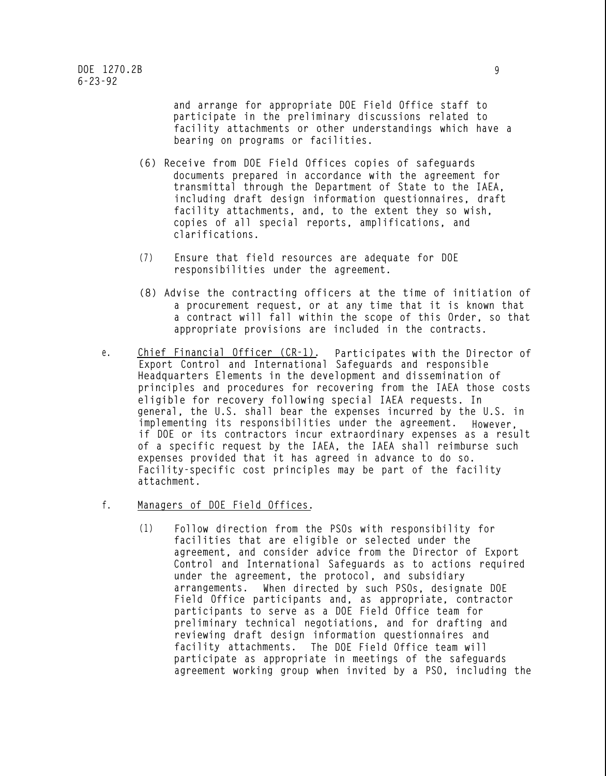**and arrange for appropriate DOE Field Office staff to participate in the preliminary discussions related to facility attachments or other understandings which have a bearing on programs or facilities.**

- **(6) Receive from DOE Field Offices copies of safeguards documents prepared in accordance with the agreement for transmittal through the Department of State to the IAEA, including draft design information questionnaires, draft facility attachments, and, to the extent they so wish, copies of all special reports, amplifications, and clarifications.**
- **(7) Ensure that field resources are adequate for DOE responsibilities under the agreement.**
- **(8) Advise the contracting officers at the time of initiation of a procurement request, or at any time that it is known that a contract will fall within the scope of this Order, so that appropriate provisions are included in the contracts.**
- **e. Chief Financial Officer (CR-1). Participates with the Director of Export Control and International Safeguards and responsible Headquarters Elements in the development and dissemination of principles and procedures for recovering from the IAEA those costs eligible for recovery following special IAEA requests. In general, the U.S. shall bear the expenses incurred by the U.S. in implementing its responsibilities under the agreement. However, if DOE or its contractors incur extraordinary expenses as a result of a specific request by the IAEA, the IAEA shall reimburse such expenses provided that it has agreed in advance to do so. Facility-specific cost principles may be part of the facility attachment.**
- **f. Managers of DOE Field Offices.**
	- **(1) Follow direction from the PSOs with responsibility for facilities that are eligible or selected under the agreement, and consider advice from the Director of Export Control and International Safeguards as to actions required under the agreement, the protocol, and subsidiary arrangements. When directed by such PSOs, designate DOE Field Office participants and, as appropriate, contractor participants to serve as a DOE Field Office team for preliminary technical negotiations, and for drafting and reviewing draft design information questionnaires and facility attachments. The DOE Field Office team will participate as appropriate in meetings of the safeguards agreement working group when invited by a PSO, including the**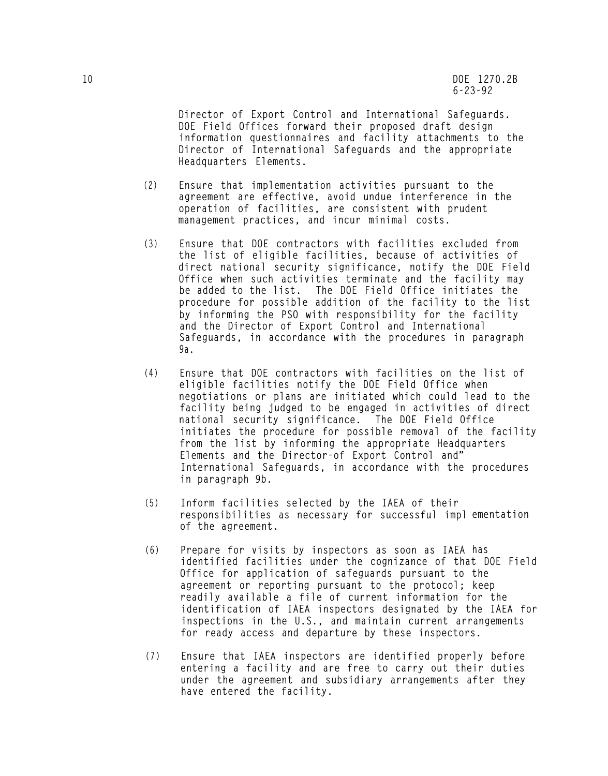**Director of Export Control and International Safeguards. DOE Field Offices forward their proposed draft design information questionnaires and facility attachments to the Director of International Safeguards and the appropriate Headquarters Elements.**

- **(2) Ensure that implementation activities pursuant to the agreement are effective, avoid undue interference in the operation of facilities, are consistent with prudent management practices, and incur minimal costs.**
- **(3) Ensure that DOE contractors with facilities excluded from the list of eligible facilities, because of activities of direct national security significance, notify the DOE Field Office when such activities terminate and the facility may be added to the list. The DOE Field Office initiates the procedure for possible addition of the facility to the list by informing the PSO with responsibility for the facility and the Director of Export Control and International Safeguards, in accordance with the procedures in paragraph 9a.**
- **(4) Ensure that DOE contractors with facilities on the list of eligible facilities notify the DOE Field Office when negotiations or plans are initiated which could lead to the facility being judged to be engaged in activities of direct national security significance. The DOE Field Office initiates the procedure for possible removal of the facility from the list by informing the appropriate Headquarters Elements and the Director-of Export Control and" International Safeguards, in accordance with the procedures in paragraph 9b.**
- **(5) Inform facilities selected by the IAEA of their responsibilities as necessary for successful impl ementation of the agreement.**
- **(6) Prepare for visits by inspectors as soon as IAEA hasidentified facilities under the cognizance of that DOE Field Office for application of safeguards pursuant to the agreement or reporting pursuant to the protocol; keep readily available a file of current information for the identification of IAEA inspectors designated by the IAEA for inspections in the U.S., and maintain current arrangements for ready access and departure by these inspectors.**
- **(7) Ensure that IAEA inspectors are identified properly before entering a facility and are free to carry out their duties under the agreement and subsidiary arrangements after they have entered the facility.**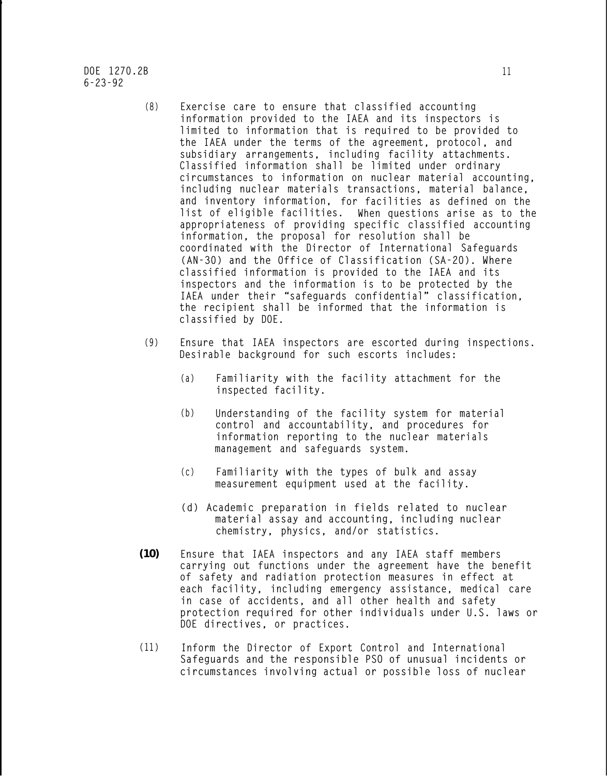**DOE 1270.2B 11 6-23-92**

- **(8) Exercise care to ensure that classified accounting information provided to the IAEA and its inspectors is limited to information that is required to be provided to the IAEA under the terms of the agreement, protocol, and subsidiary arrangements, including facility attachments. Classified information shall be limited under ordinary circumstances to information on nuclear material accounting, including nuclear materials transactions, material balance, and inventory information, for facilities as defined on the list of eligible facilities. When questions arise as to the appropriateness of providing specific classified accounting information, the proposal for resolution shall be coordinated with the Director of International Safeguards (AN-30) and the Office of Classification (SA-20). Where classified information is provided to the IAEA and its inspectors and the information is to be protected by the IAEA under their "safeguards confidential" classification, the recipient shall be informed that the information is classified by DOE.**
- **(9) Ensure that IAEA inspectors are escorted during inspections. Desirable background for such escorts includes:**
	- **(a) Familiarity with the facility attachment for the inspected facility.**
	- **(b) Understanding of the facility system for material control and accountability, and procedures for information reporting to the nuclear materials management and safeguards system.**
	- **(c) Familiarity with the types of bulk and assay measurement equipment used at the facility.**
	- **(d) Academic preparation in fields related to nuclear material assay and accounting, including nuclear chemistry, physics, and/or statistics.**
- **(10) Ensure that IAEA inspectors and any IAEA staff members carrying out functions under the agreement have the benefit of safety and radiation protection measures in effect at each facility, including emergency assistance, medical care in case of accidents, and all other health and safety protection required for other individuals under U.S. laws or DOE directives, or practices.**
- **(11) Inform the Director of Export Control and International Safeguards and the responsible PSO of unusual incidents or circumstances involving actual or possible loss of nuclear**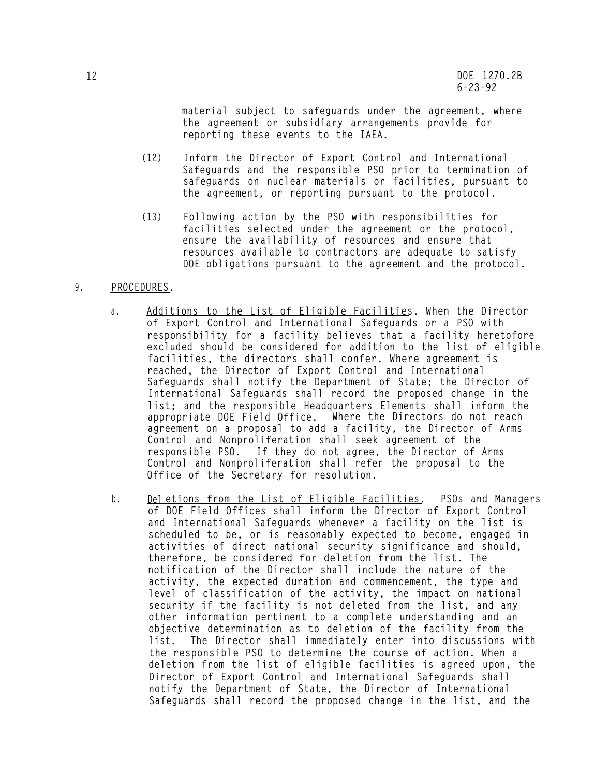**material subject to safeguards under the agreement, where the agreement or subsidiary arrangements provide for reporting these events to the IAEA.**

- **(12) Inform the Director of Export Control and International Safeguards and the responsible PSO prior to termination of safeguards on nuclear materials or facilities, pursuant to the agreement, or reporting pursuant to the protocol.**
- **(13) Following action by the PSO with responsibilities for facilities selected under the agreement or the protocol, ensure the availability of resources and ensure that resources available to contractors are adequate to satisfy DOE obligations pursuant to the agreement and the protocol.**

### **9. PROCEDURES.**

- **a. Additions to the List of Eligible Facilities. When the Director of Export Control and International Safeguards or a PSO with responsibility for a facility believes that a facility heretofore excluded should be considered for addition to the list of eligible facilities, the directors shall confer. Where agreement is reached, the Director of Export Control and International Safeguards shall notify the Department of State; the Director of International Safeguards shall record the proposed change in the list; and the responsible Headquarters Elements shall inform the appropriate DOE Field Office. Where the Directors do not reach agreement on a proposal to add a facility, the Director of Arms Control and Nonproliferation shall seek agreement of the responsible PSO. If they do not agree, the Director of Arms Control and Nonproliferation shall refer the proposal to the Office of the Secretary for resolution.**
- **b. Del etions from the List of Eligible Facilities. PSOs and Managers of DOE Field Offices shall inform the Director of Export Control and International Safeguards whenever a facility on the list is scheduled to be, or is reasonably expected to become, engaged in activities of direct national security significance and should, therefore, be considered for deletion from the list. The notification of the Director shall include the nature of the activity, the expected duration and commencement, the type and level of classification of the activity, the impact on national security if the facility is not deleted from the list, and any other information pertinent to a complete understanding and an objective determination as to deletion of the facility from the list. The Director shall immediately enter into discussions with the responsible PSO to determine the course of action. When a deletion from the list of eligible facilities is agreed upon, the Director of Export Control and International Safeguards shall notify the Department of State, the Director of International Safeguards shall record the proposed change in the list, and the**